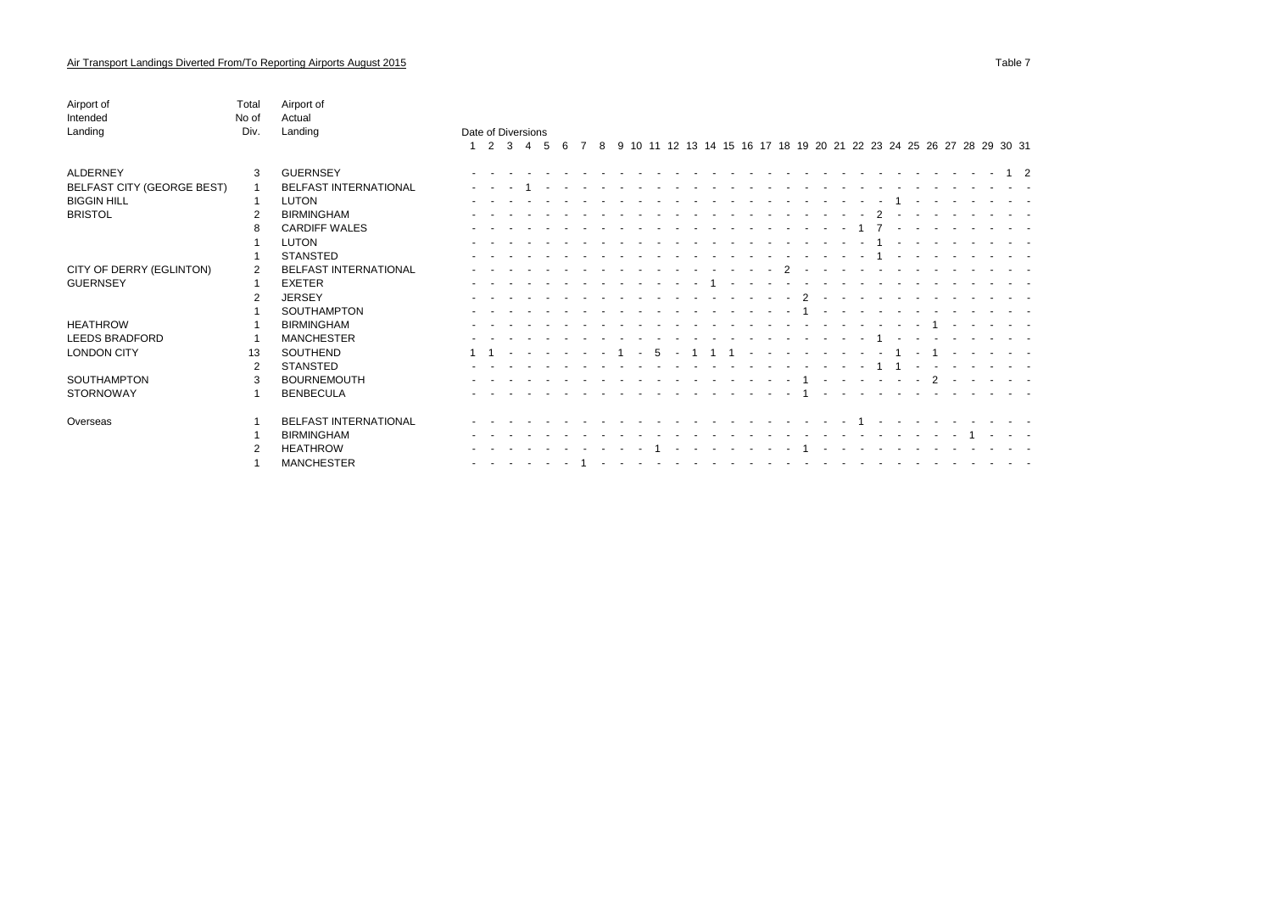| Airport of<br>Intended     | Total<br>No of | Airport of<br>Actual         |                    |     |                |   |                                 |  |   |   |        |    |            |                          |  |                                                                                                                                                                                                                                |                          |                               |                |                                     |        |                  |                                                                                                                                                                                                                                |            |                                                                                                                 |  |                                                                   |          |  |
|----------------------------|----------------|------------------------------|--------------------|-----|----------------|---|---------------------------------|--|---|---|--------|----|------------|--------------------------|--|--------------------------------------------------------------------------------------------------------------------------------------------------------------------------------------------------------------------------------|--------------------------|-------------------------------|----------------|-------------------------------------|--------|------------------|--------------------------------------------------------------------------------------------------------------------------------------------------------------------------------------------------------------------------------|------------|-----------------------------------------------------------------------------------------------------------------|--|-------------------------------------------------------------------|----------|--|
| Landing                    | Div.           | Landing                      | Date of Diversions |     |                |   |                                 |  |   |   |        |    |            |                          |  |                                                                                                                                                                                                                                |                          |                               |                |                                     |        |                  |                                                                                                                                                                                                                                |            |                                                                                                                 |  |                                                                   |          |  |
|                            |                |                              |                    | 2 3 | $\overline{4}$ | 5 | 6                               |  | 8 | 9 |        |    |            |                          |  |                                                                                                                                                                                                                                |                          |                               |                |                                     |        |                  |                                                                                                                                                                                                                                |            |                                                                                                                 |  | 10 11 12 13 14 15 16 17 18 19 20 21 22 23 24 25 26 27 28 29 30 31 |          |  |
| ALDERNEY                   | 3              | <b>GUERNSEY</b>              |                    |     |                |   |                                 |  |   |   |        |    |            |                          |  |                                                                                                                                                                                                                                |                          |                               |                |                                     |        |                  | the second contract of the second contract of the second contract of the second contract of the second contract of the second contract of the second contract of the second contract of the second contract of the second cont |            |                                                                                                                 |  |                                                                   | $1\quad$ |  |
| BELFAST CITY (GEORGE BEST) |                | BELFAST INTERNATIONAL        |                    |     |                |   |                                 |  |   |   |        |    |            |                          |  |                                                                                                                                                                                                                                |                          |                               |                |                                     |        |                  |                                                                                                                                                                                                                                |            |                                                                                                                 |  |                                                                   |          |  |
| <b>BIGGIN HILL</b>         |                | LUTON                        |                    |     |                |   |                                 |  |   |   |        |    |            |                          |  |                                                                                                                                                                                                                                |                          |                               |                |                                     |        |                  |                                                                                                                                                                                                                                |            |                                                                                                                 |  |                                                                   |          |  |
| <b>BRISTOL</b>             | $\overline{2}$ | <b>BIRMINGHAM</b>            |                    |     |                |   |                                 |  |   |   |        |    |            |                          |  |                                                                                                                                                                                                                                |                          |                               |                |                                     |        |                  | $\mathcal{D}$                                                                                                                                                                                                                  |            |                                                                                                                 |  |                                                                   |          |  |
|                            |                | <b>CARDIFF WALES</b>         |                    |     |                |   |                                 |  |   |   |        |    |            |                          |  |                                                                                                                                                                                                                                |                          | $\sim$ $\sim$                 |                | .                                   |        |                  | 1 7                                                                                                                                                                                                                            |            |                                                                                                                 |  |                                                                   |          |  |
|                            |                | <b>LUTON</b>                 |                    |     |                |   |                                 |  |   |   |        |    |            |                          |  |                                                                                                                                                                                                                                |                          |                               |                |                                     |        |                  |                                                                                                                                                                                                                                |            |                                                                                                                 |  |                                                                   |          |  |
|                            |                | <b>STANSTED</b>              |                    |     |                |   |                                 |  |   |   |        |    |            |                          |  |                                                                                                                                                                                                                                |                          |                               |                | the contract of the contract of the |        |                  | $\overline{1}$                                                                                                                                                                                                                 |            | the contract of the contract of the contract of the contract of the contract of the contract of the contract of |  |                                                                   |          |  |
| CITY OF DERRY (EGLINTON)   | 2              | <b>BELFAST INTERNATIONAL</b> |                    |     |                |   |                                 |  |   |   |        |    |            |                          |  |                                                                                                                                                                                                                                | $\sim$                   | $\overline{2}$                | $\sim$         | $\sim$ $\sim$                       |        | $\sim$ 100 $\mu$ | $\sim$                                                                                                                                                                                                                         |            |                                                                                                                 |  |                                                                   |          |  |
| <b>GUERNSEY</b>            |                | <b>EXETER</b>                |                    |     |                |   |                                 |  |   |   |        |    |            |                          |  | $\sim$ $-$                                                                                                                                                                                                                     | $\sim$                   |                               |                |                                     |        |                  |                                                                                                                                                                                                                                |            |                                                                                                                 |  |                                                                   |          |  |
|                            | 2              | <b>JERSEY</b>                |                    |     |                |   |                                 |  |   |   |        | .  |            | <b>Contract Contract</b> |  | $\sim$ $-$                                                                                                                                                                                                                     | <b>Contract Contract</b> |                               | $\overline{2}$ | $\sim$                              | $\sim$ | $\sim$           | $\sim$                                                                                                                                                                                                                         |            |                                                                                                                 |  |                                                                   |          |  |
|                            |                | <b>SOUTHAMPTON</b>           |                    |     |                |   |                                 |  |   |   |        |    |            |                          |  |                                                                                                                                                                                                                                |                          |                               |                |                                     | $\sim$ |                  |                                                                                                                                                                                                                                |            |                                                                                                                 |  |                                                                   |          |  |
| <b>HEATHROW</b>            |                | <b>BIRMINGHAM</b>            |                    |     |                |   |                                 |  |   |   |        |    |            |                          |  |                                                                                                                                                                                                                                |                          |                               |                |                                     |        |                  |                                                                                                                                                                                                                                |            |                                                                                                                 |  |                                                                   |          |  |
| LEEDS BRADFORD             |                | <b>MANCHESTER</b>            |                    |     |                |   |                                 |  |   |   |        |    |            |                          |  |                                                                                                                                                                                                                                |                          |                               | $\sim$         | .                                   |        | $\sim$           |                                                                                                                                                                                                                                | $\sim 100$ | .                                                                                                               |  |                                                                   |          |  |
| <b>LONDON CITY</b>         | 13             | SOUTHEND                     |                    |     |                |   | the contract of the contract of |  |   |   | $\sim$ | -5 | $\sim$ $-$ |                          |  | $\sim$                                                                                                                                                                                                                         |                          | the company of the company of |                |                                     |        | $\sim$ $\sim$    | $\sim 10^{-1}$                                                                                                                                                                                                                 |            | 1 - 1 -                                                                                                         |  |                                                                   |          |  |
|                            | 2              | <b>STANSTED</b>              |                    |     |                |   |                                 |  |   |   |        |    |            |                          |  |                                                                                                                                                                                                                                |                          |                               |                | and the state of the                |        | $\sim$           |                                                                                                                                                                                                                                |            |                                                                                                                 |  |                                                                   |          |  |
| SOUTHAMPTON                | 3              | <b>BOURNEMOUTH</b>           |                    |     |                |   |                                 |  |   |   |        |    |            | <b>Contract Contract</b> |  |                                                                                                                                                                                                                                |                          |                               |                |                                     |        |                  | . 1 2                                                                                                                                                                                                                          |            |                                                                                                                 |  |                                                                   |          |  |
| <b>STORNOWAY</b>           |                | <b>BENBECULA</b>             |                    |     |                |   |                                 |  |   |   |        |    |            |                          |  |                                                                                                                                                                                                                                |                          |                               |                |                                     |        |                  | the contract of the contract of the contract of the contract of the contract of the contract of the contract of                                                                                                                |            |                                                                                                                 |  |                                                                   |          |  |
| Overseas                   |                | BELFAST INTERNATIONAL        |                    |     |                |   |                                 |  |   |   |        |    |            |                          |  | the second contract of the second contract of the second second contract of the second second second second second second second second second second second second second second second second second second second second se |                          |                               |                |                                     |        |                  |                                                                                                                                                                                                                                |            |                                                                                                                 |  |                                                                   |          |  |
|                            |                | <b>BIRMINGHAM</b>            |                    |     |                |   |                                 |  |   |   |        |    |            |                          |  | <u>.</u>                                                                                                                                                                                                                       |                          |                               |                |                                     |        |                  |                                                                                                                                                                                                                                |            | the company of the company of the company                                                                       |  |                                                                   |          |  |

2 HEATHROW - - - - - - - - - - 1 - - - - - - - 1 - - - - - - - - - - - -

 $1.1$  MANCHESTER -  $1.1$  ,  $1.1$  ,  $1.1$  ,  $1.1$  ,  $1.1$  ,  $1.1$  ,  $1.1$  ,  $1.1$  ,  $1.1$